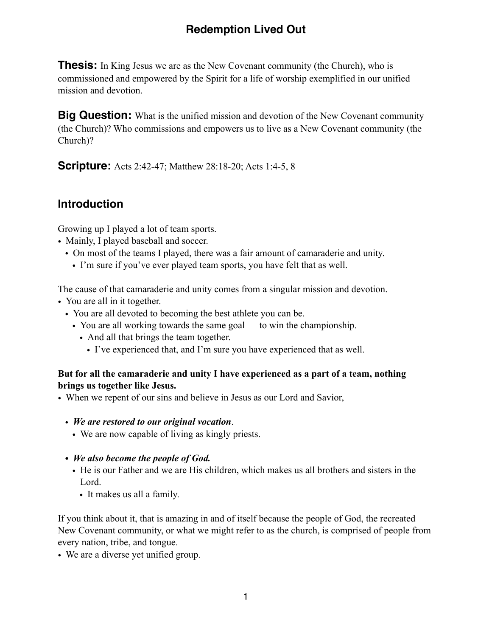# **Redemption Lived Out**

**Thesis:** In King Jesus we are as the New Covenant community (the Church), who is commissioned and empowered by the Spirit for a life of worship exemplified in our unified mission and devotion.

**Big Question:** What is the unified mission and devotion of the New Covenant community (the Church)? Who commissions and empowers us to live as a New Covenant community (the Church)?

**Scripture:** Acts 2:42-47; Matthew 28:18-20; Acts 1:4-5, 8

## **Introduction**

Growing up I played a lot of team sports.

- Mainly, I played baseball and soccer.
	- On most of the teams I played, there was a fair amount of camaraderie and unity.
		- I'm sure if you've ever played team sports, you have felt that as well.

The cause of that camaraderie and unity comes from a singular mission and devotion.

- You are all in it together.
	- You are all devoted to becoming the best athlete you can be.
		- You are all working towards the same goal to win the championship.
			- And all that brings the team together.
				- I've experienced that, and I'm sure you have experienced that as well.

#### **But for all the camaraderie and unity I have experienced as a part of a team, nothing brings us together like Jesus.**

- When we repent of our sins and believe in Jesus as our Lord and Savior,
	- *We are restored to our original vocation*.
		- We are now capable of living as kingly priests.
	- *• We also become the people of God.* 
		- He is our Father and we are His children, which makes us all brothers and sisters in the Lord.
			- It makes us all a family.

If you think about it, that is amazing in and of itself because the people of God, the recreated New Covenant community, or what we might refer to as the church, is comprised of people from every nation, tribe, and tongue.

• We are a diverse yet unified group.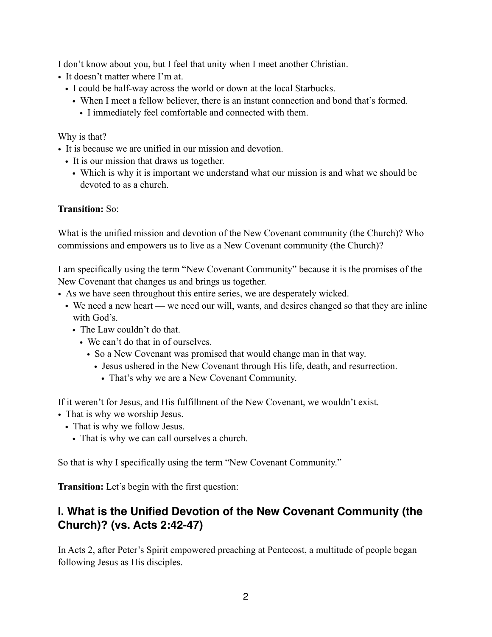I don't know about you, but I feel that unity when I meet another Christian.

- It doesn't matter where I'm at.
	- I could be half-way across the world or down at the local Starbucks.
		- When I meet a fellow believer, there is an instant connection and bond that's formed.
			- I immediately feel comfortable and connected with them.

Why is that?

- It is because we are unified in our mission and devotion.
	- It is our mission that draws us together.
		- Which is why it is important we understand what our mission is and what we should be devoted to as a church.

### **Transition:** So:

What is the unified mission and devotion of the New Covenant community (the Church)? Who commissions and empowers us to live as a New Covenant community (the Church)?

I am specifically using the term "New Covenant Community" because it is the promises of the New Covenant that changes us and brings us together.

- As we have seen throughout this entire series, we are desperately wicked.
	- We need a new heart we need our will, wants, and desires changed so that they are inline with God's.
		- The Law couldn't do that.
			- We can't do that in of ourselves.
				- So a New Covenant was promised that would change man in that way.
					- Jesus ushered in the New Covenant through His life, death, and resurrection.
						- That's why we are a New Covenant Community.

If it weren't for Jesus, and His fulfillment of the New Covenant, we wouldn't exist.

- That is why we worship Jesus.
	- That is why we follow Jesus.
		- That is why we can call ourselves a church.

So that is why I specifically using the term "New Covenant Community."

**Transition:** Let's begin with the first question:

# **I. What is the Unified Devotion of the New Covenant Community (the Church)? (vs. Acts 2:42-47)**

In Acts 2, after Peter's Spirit empowered preaching at Pentecost, a multitude of people began following Jesus as His disciples.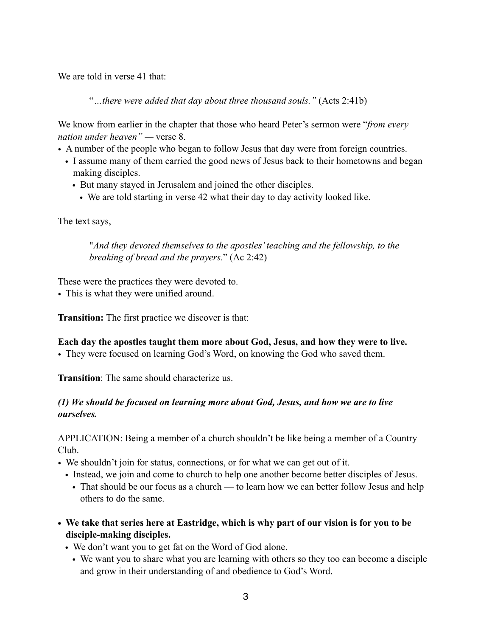We are told in verse 41 that:

"*…there were added that day about three thousand souls."* (Acts 2:41b)

We know from earlier in the chapter that those who heard Peter's sermon were "*from every nation under heaven" —* verse 8.

- A number of the people who began to follow Jesus that day were from foreign countries.
	- I assume many of them carried the good news of Jesus back to their hometowns and began making disciples.
		- But many stayed in Jerusalem and joined the other disciples.
			- We are told starting in verse 42 what their day to day activity looked like.

The text says,

"*And they devoted themselves to the apostles' teaching and the fellowship, to the breaking of bread and the prayers.*" (Ac 2:42)

These were the practices they were devoted to.

• This is what they were unified around.

**Transition:** The first practice we discover is that:

#### **Each day the apostles taught them more about God, Jesus, and how they were to live.**

• They were focused on learning God's Word, on knowing the God who saved them.

**Transition**: The same should characterize us.

### *(1) We should be focused on learning more about God, Jesus, and how we are to live ourselves.*

APPLICATION: Being a member of a church shouldn't be like being a member of a Country Club.

- We shouldn't join for status, connections, or for what we can get out of it.
	- Instead, we join and come to church to help one another become better disciples of Jesus.
		- That should be our focus as a church to learn how we can better follow Jesus and help others to do the same.
- **• We take that series here at Eastridge, which is why part of our vision is for you to be disciple-making disciples.** 
	- We don't want you to get fat on the Word of God alone.
		- We want you to share what you are learning with others so they too can become a disciple and grow in their understanding of and obedience to God's Word.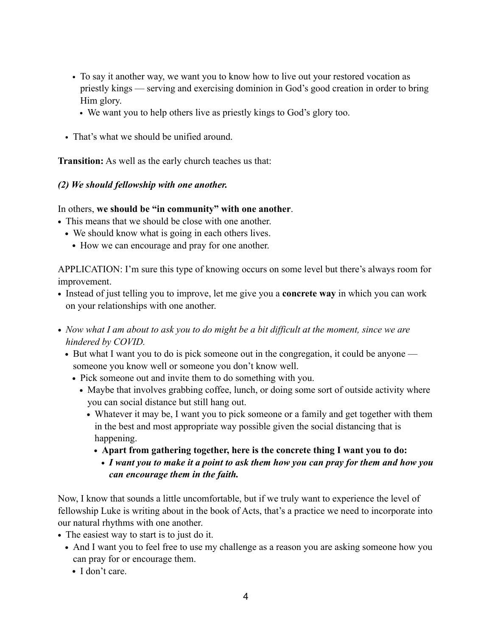- To say it another way, we want you to know how to live out your restored vocation as priestly kings — serving and exercising dominion in God's good creation in order to bring Him glory.
	- We want you to help others live as priestly kings to God's glory too.
- That's what we should be unified around.

**Transition:** As well as the early church teaches us that:

#### *(2) We should fellowship with one another.*

In others, **we should be "in community" with one another**.

- **•** This means that we should be close with one another.
	- We should know what is going in each others lives.
		- **•** How we can encourage and pray for one another.

APPLICATION: I'm sure this type of knowing occurs on some level but there's always room for improvement.

- **•** Instead of just telling you to improve, let me give you a **concrete way** in which you can work on your relationships with one another.
- *• Now what I am about to ask you to do might be a bit difficult at the moment, since we are hindered by COVID.* 
	- But what I want you to do is pick someone out in the congregation, it could be anyone someone you know well or someone you don't know well.
		- **•** Pick someone out and invite them to do something with you.
			- Maybe that involves grabbing coffee, lunch, or doing some sort of outside activity where you can social distance but still hang out.
				- **•** Whatever it may be, I want you to pick someone or a family and get together with them in the best and most appropriate way possible given the social distancing that is happening.
					- **• Apart from gathering together, here is the concrete thing I want you to do:**
					- *• I want you to make it a point to ask them how you can pray for them and how you can encourage them in the faith.*

Now, I know that sounds a little uncomfortable, but if we truly want to experience the level of fellowship Luke is writing about in the book of Acts, that's a practice we need to incorporate into our natural rhythms with one another.

- **•** The easiest way to start is to just do it.
	- And I want you to feel free to use my challenge as a reason you are asking someone how you can pray for or encourage them.
		- **•** I don't care.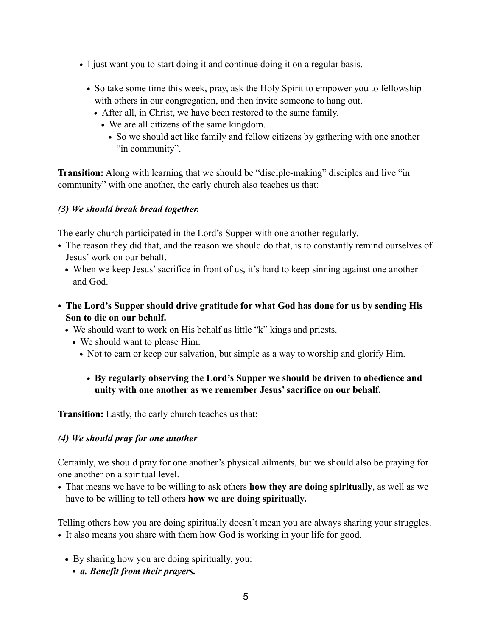- **•** I just want you to start doing it and continue doing it on a regular basis.
	- So take some time this week, pray, ask the Holy Spirit to empower you to fellowship with others in our congregation, and then invite someone to hang out.
		- **•** After all, in Christ, we have been restored to the same family.
			- **•** We are all citizens of the same kingdom.
				- **•** So we should act like family and fellow citizens by gathering with one another "in community".

**Transition:** Along with learning that we should be "disciple-making" disciples and live "in community" with one another, the early church also teaches us that:

### *(3) We should break bread together.*

The early church participated in the Lord's Supper with one another regularly.

- The reason they did that, and the reason we should do that, is to constantly remind ourselves of Jesus' work on our behalf.
	- When we keep Jesus' sacrifice in front of us, it's hard to keep sinning against one another and God.
- **• The Lord's Supper should drive gratitude for what God has done for us by sending His Son to die on our behalf.** 
	- We should want to work on His behalf as little "k" kings and priests.
		- **•** We should want to please Him.
			- Not to earn or keep our salvation, but simple as a way to worship and glorify Him.

## **• By regularly observing the Lord's Supper we should be driven to obedience and unity with one another as we remember Jesus' sacrifice on our behalf.**

**Transition:** Lastly, the early church teaches us that:

#### *(4) We should pray for one another*

Certainly, we should pray for one another's physical ailments, but we should also be praying for one another on a spiritual level.

**•** That means we have to be willing to ask others **how they are doing spiritually**, as well as we have to be willing to tell others **how we are doing spiritually.** 

Telling others how you are doing spiritually doesn't mean you are always sharing your struggles.

- **•** It also means you share with them how God is working in your life for good.
	- **•** By sharing how you are doing spiritually, you:
		- *• a. Benefit from their prayers.*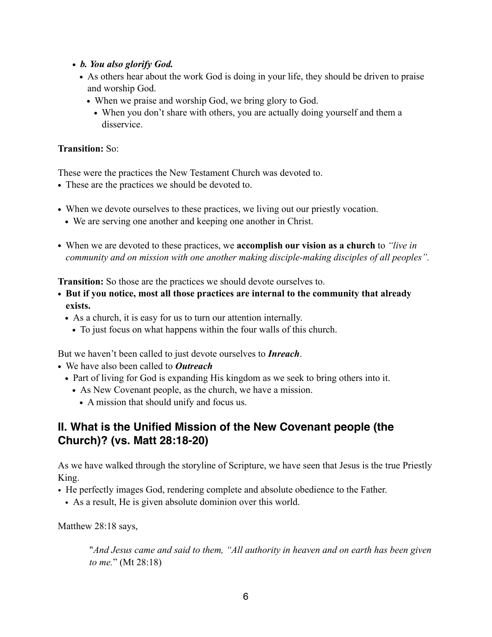- *• b. You also glorify God.* 
	- As others hear about the work God is doing in your life, they should be driven to praise and worship God.
		- **•** When we praise and worship God, we bring glory to God.
			- **•** When you don't share with others, you are actually doing yourself and them a disservice.

#### **Transition:** So:

These were the practices the New Testament Church was devoted to.

- **•** These are the practices we should be devoted to.
- When we devote ourselves to these practices, we living out our priestly vocation.
	- **•** We are serving one another and keeping one another in Christ.
- **•** When we are devoted to these practices, we **accomplish our vision as a church** to *"live in community and on mission with one another making disciple-making disciples of all peoples".*

**Transition:** So those are the practices we should devote ourselves to.

- **• But if you notice, most all those practices are internal to the community that already exists.** 
	- **•** As a church, it is easy for us to turn our attention internally.
		- **•** To just focus on what happens within the four walls of this church.

But we haven't been called to just devote ourselves to *Inreach*.

- **•** We have also been called to *Outreach*
	- **•** Part of living for God is expanding His kingdom as we seek to bring others into it.
		- **•** As New Covenant people, as the church, we have a mission.
			- **•** A mission that should unify and focus us.

# **II. What is the Unified Mission of the New Covenant people (the Church)? (vs. Matt 28:18-20)**

As we have walked through the storyline of Scripture, we have seen that Jesus is the true Priestly King.

- He perfectly images God, rendering complete and absolute obedience to the Father.
	- As a result, He is given absolute dominion over this world.

Matthew 28:18 says,

"*And Jesus came and said to them, "All authority in heaven and on earth has been given to me.*" (Mt 28:18)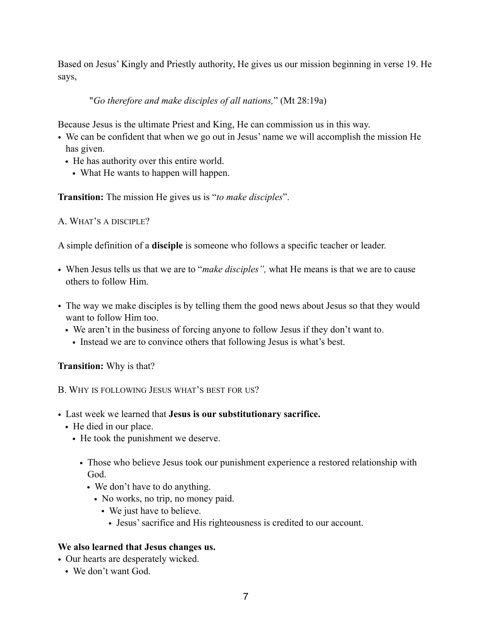Based on Jesus' Kingly and Priestly authority, He gives us our mission beginning in verse 19. He says,

"*Go therefore and make disciples of all nations,*" (Mt 28:19a)

Because Jesus is the ultimate Priest and King, He can commission us in this way.

- We can be confident that when we go out in Jesus' name we will accomplish the mission He has given.
	- He has authority over this entire world.
		- What He wants to happen will happen.

**Transition:** The mission He gives us is "*to make disciples*".

A. WHAT'S A DISCIPLE?

A simple definition of a **disciple** is someone who follows a specific teacher or leader.

- When Jesus tells us that we are to "*make disciples",* what He means is that we are to cause others to follow Him.
- The way we make disciples is by telling them the good news about Jesus so that they would want to follow Him too.
	- We aren't in the business of forcing anyone to follow Jesus if they don't want to.
		- Instead we are to convince others that following Jesus is what's best.

**Transition:** Why is that?

B. WHY IS FOLLOWING JESUS WHAT'S BEST FOR US?

- Last week we learned that **Jesus is our substitutionary sacrifice.**
	- He died in our place.
		- He took the punishment we deserve.
			- Those who believe Jesus took our punishment experience a restored relationship with God.
				- We don't have to do anything.
					- No works, no trip, no money paid.
						- We just have to believe.
							- Jesus' sacrifice and His righteousness is credited to our account.

## **We also learned that Jesus changes us.**

- Our hearts are desperately wicked.
	- We don't want God.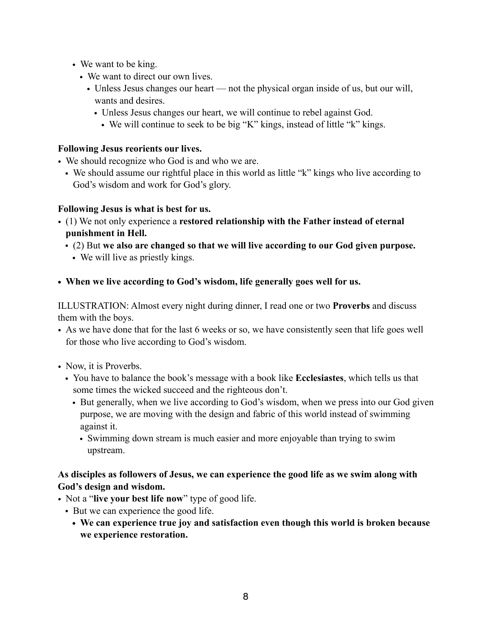- We want to be king.
	- We want to direct our own lives.
		- Unless Jesus changes our heart not the physical organ inside of us, but our will, wants and desires.
			- Unless Jesus changes our heart, we will continue to rebel against God.
				- We will continue to seek to be big "K" kings, instead of little "k" kings.

### **Following Jesus reorients our lives.**

- We should recognize who God is and who we are.
	- We should assume our rightful place in this world as little "k" kings who live according to God's wisdom and work for God's glory.

### **Following Jesus is what is best for us.**

- (1) We not only experience a **restored relationship with the Father instead of eternal punishment in Hell.** 
	- (2) But **we also are changed so that we will live according to our God given purpose.** 
		- We will live as priestly kings.
- **• When we live according to God's wisdom, life generally goes well for us.**

ILLUSTRATION: Almost every night during dinner, I read one or two **Proverbs** and discuss them with the boys.

- As we have done that for the last 6 weeks or so, we have consistently seen that life goes well for those who live according to God's wisdom.
- Now, it is Proverbs.
	- You have to balance the book's message with a book like **Ecclesiastes**, which tells us that some times the wicked succeed and the righteous don't.
		- But generally, when we live according to God's wisdom, when we press into our God given purpose, we are moving with the design and fabric of this world instead of swimming against it.
			- Swimming down stream is much easier and more enjoyable than trying to swim upstream.

## **As disciples as followers of Jesus, we can experience the good life as we swim along with God's design and wisdom.**

- Not a "**live your best life now**" type of good life.
	- But we can experience the good life.
		- **• We can experience true joy and satisfaction even though this world is broken because we experience restoration.**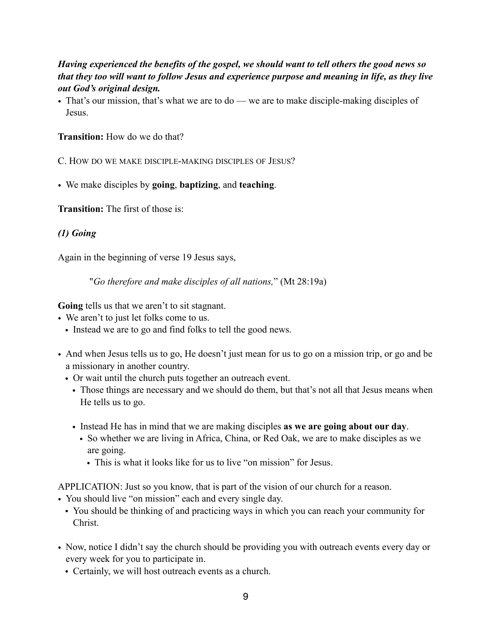### *Having experienced the benefits of the gospel, we should want to tell others the good news so that they too will want to follow Jesus and experience purpose and meaning in life, as they live out God's original design.*

• That's our mission, that's what we are to do — we are to make disciple-making disciples of Jesus.

**Transition:** How do we do that?

C. HOW DO WE MAKE DISCIPLE-MAKING DISCIPLES OF JESUS?

• We make disciples by **going**, **baptizing**, and **teaching**.

**Transition:** The first of those is:

## *(1) Going*

Again in the beginning of verse 19 Jesus says,

"*Go therefore and make disciples of all nations,*" (Mt 28:19a)

**Going** tells us that we aren't to sit stagnant.

- We aren't to just let folks come to us.
	- Instead we are to go and find folks to tell the good news.
- And when Jesus tells us to go, He doesn't just mean for us to go on a mission trip, or go and be a missionary in another country.
	- Or wait until the church puts together an outreach event.
		- Those things are necessary and we should do them, but that's not all that Jesus means when He tells us to go.
		- Instead He has in mind that we are making disciples **as we are going about our day**.
			- So whether we are living in Africa, China, or Red Oak, we are to make disciples as we are going.
				- This is what it looks like for us to live "on mission" for Jesus.
- APPLICATION: Just so you know, that is part of the vision of our church for a reason.
- You should live "on mission" each and every single day.
	- You should be thinking of and practicing ways in which you can reach your community for Christ.
- Now, notice I didn't say the church should be providing you with outreach events every day or every week for you to participate in.
	- Certainly, we will host outreach events as a church.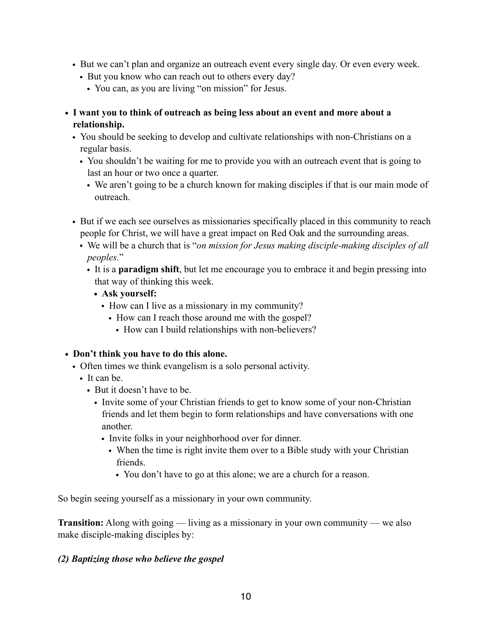- But we can't plan and organize an outreach event every single day. Or even every week.
	- But you know who can reach out to others every day?
		- You can, as you are living "on mission" for Jesus.
- **• I want you to think of outreach as being less about an event and more about a relationship.** 
	- You should be seeking to develop and cultivate relationships with non-Christians on a regular basis.
		- You shouldn't be waiting for me to provide you with an outreach event that is going to last an hour or two once a quarter.
			- We aren't going to be a church known for making disciples if that is our main mode of outreach.
	- But if we each see ourselves as missionaries specifically placed in this community to reach people for Christ, we will have a great impact on Red Oak and the surrounding areas.
		- We will be a church that is "*on mission for Jesus making disciple-making disciples of all peoples.*"
			- It is a **paradigm shift**, but let me encourage you to embrace it and begin pressing into that way of thinking this week.
				- **• Ask yourself:** 
					- How can I live as a missionary in my community?
						- How can I reach those around me with the gospel?
							- How can I build relationships with non-believers?

#### **• Don't think you have to do this alone.**

- Often times we think evangelism is a solo personal activity.
	- It can be
		- But it doesn't have to be.
			- Invite some of your Christian friends to get to know some of your non-Christian friends and let them begin to form relationships and have conversations with one another.
				- Invite folks in your neighborhood over for dinner.
					- When the time is right invite them over to a Bible study with your Christian friends.
						- You don't have to go at this alone; we are a church for a reason.

So begin seeing yourself as a missionary in your own community.

**Transition:** Along with going — living as a missionary in your own community — we also make disciple-making disciples by:

#### *(2) Baptizing those who believe the gospel*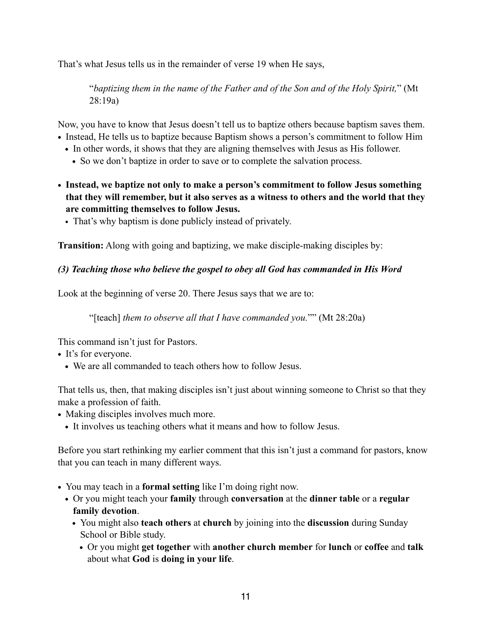That's what Jesus tells us in the remainder of verse 19 when He says,

"*baptizing them in the name of the Father and of the Son and of the Holy Spirit,*" (Mt 28:19a)

Now, you have to know that Jesus doesn't tell us to baptize others because baptism saves them.

- **•** Instead, He tells us to baptize because Baptism shows a person's commitment to follow Him
	- In other words, it shows that they are aligning themselves with Jesus as His follower.
		- **•** So we don't baptize in order to save or to complete the salvation process.
- **• Instead, we baptize not only to make a person's commitment to follow Jesus something that they will remember, but it also serves as a witness to others and the world that they are committing themselves to follow Jesus.** 
	- That's why baptism is done publicly instead of privately.

**Transition:** Along with going and baptizing, we make disciple-making disciples by:

### *(3) Teaching those who believe the gospel to obey all God has commanded in His Word*

Look at the beginning of verse 20. There Jesus says that we are to:

"[teach] *them to observe all that I have commanded you.*"" (Mt 28:20a)

This command isn't just for Pastors.

- **•** It's for everyone.
	- We are all commanded to teach others how to follow Jesus.

That tells us, then, that making disciples isn't just about winning someone to Christ so that they make a profession of faith.

- **•** Making disciples involves much more.
	- **•** It involves us teaching others what it means and how to follow Jesus.

Before you start rethinking my earlier comment that this isn't just a command for pastors, know that you can teach in many different ways.

- **•** You may teach in a **formal setting** like I'm doing right now.
	- **•** Or you might teach your **family** through **conversation** at the **dinner table** or a **regular family devotion**.
		- **•** You might also **teach others** at **church** by joining into the **discussion** during Sunday School or Bible study.
			- **•** Or you might **get together** with **another church member** for **lunch** or **coffee** and **talk** about what **God** is **doing in your life**.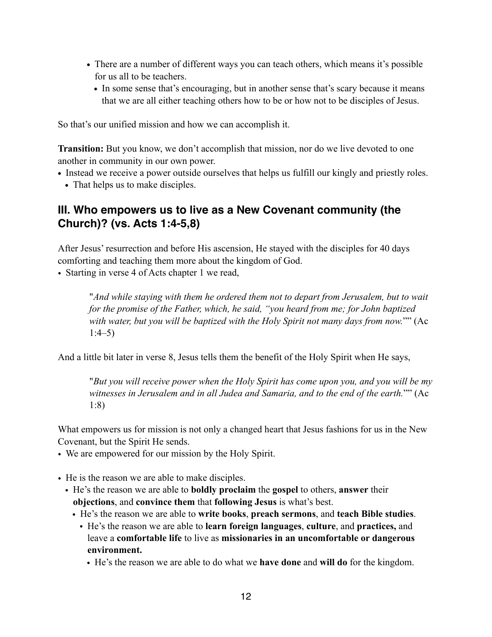- **•** There are a number of different ways you can teach others, which means it's possible for us all to be teachers.
	- In some sense that's encouraging, but in another sense that's scary because it means that we are all either teaching others how to be or how not to be disciples of Jesus.

So that's our unified mission and how we can accomplish it.

**Transition:** But you know, we don't accomplish that mission, nor do we live devoted to one another in community in our own power.

- Instead we receive a power outside ourselves that helps us fulfill our kingly and priestly roles.
	- That helps us to make disciples.

## **III. Who empowers us to live as a New Covenant community (the Church)? (vs. Acts 1:4-5,8)**

After Jesus' resurrection and before His ascension, He stayed with the disciples for 40 days comforting and teaching them more about the kingdom of God.

• Starting in verse 4 of Acts chapter 1 we read,

"*And while staying with them he ordered them not to depart from Jerusalem, but to wait for the promise of the Father, which, he said, "you heard from me; for John baptized with water, but you will be baptized with the Holy Spirit not many days from now.*"" (Ac 1:4–5)

And a little bit later in verse 8, Jesus tells them the benefit of the Holy Spirit when He says,

"*But you will receive power when the Holy Spirit has come upon you, and you will be my witnesses in Jerusalem and in all Judea and Samaria, and to the end of the earth.*"" (Ac 1:8)

What empowers us for mission is not only a changed heart that Jesus fashions for us in the New Covenant, but the Spirit He sends.

- We are empowered for our mission by the Holy Spirit.
- He is the reason we are able to make disciples.
	- He's the reason we are able to **boldly proclaim** the **gospel** to others, **answer** their **objections**, and **convince them** that **following Jesus** is what's best.
		- He's the reason we are able to **write books**, **preach sermons**, and **teach Bible studies**. • He's the reason we are able to **learn foreign languages**, **culture**, and **practices,** and leave a **comfortable life** to live as **missionaries in an uncomfortable or dangerous environment.**
			- He's the reason we are able to do what we **have done** and **will do** for the kingdom.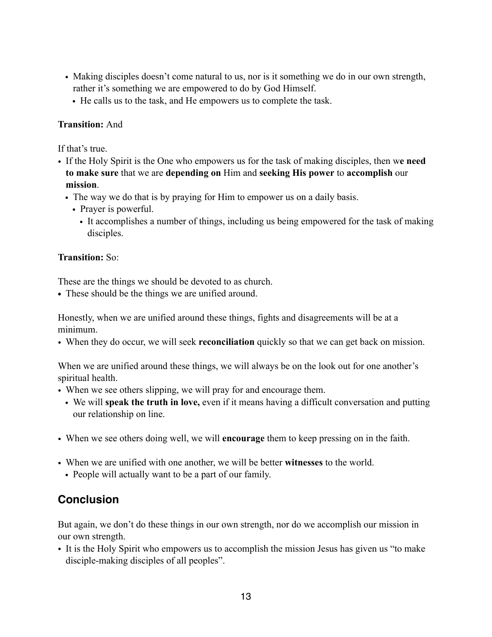- Making disciples doesn't come natural to us, nor is it something we do in our own strength, rather it's something we are empowered to do by God Himself.
	- He calls us to the task, and He empowers us to complete the task.

### **Transition:** And

If that's true.

- If the Holy Spirit is the One who empowers us for the task of making disciples, then w**e need to make sure** that we are **depending on** Him and **seeking His power** to **accomplish** our **mission**.
	- The way we do that is by praying for Him to empower us on a daily basis.
		- Prayer is powerful.
			- It accomplishes a number of things, including us being empowered for the task of making disciples.

### **Transition:** So:

These are the things we should be devoted to as church.

**•** These should be the things we are unified around.

Honestly, when we are unified around these things, fights and disagreements will be at a minimum.

• When they do occur, we will seek **reconciliation** quickly so that we can get back on mission.

When we are unified around these things, we will always be on the look out for one another's spiritual health.

- When we see others slipping, we will pray for and encourage them.
	- We will **speak the truth in love,** even if it means having a difficult conversation and putting our relationship on line.
- When we see others doing well, we will **encourage** them to keep pressing on in the faith.
- When we are unified with one another, we will be better **witnesses** to the world.
	- People will actually want to be a part of our family.

# **Conclusion**

But again, we don't do these things in our own strength, nor do we accomplish our mission in our own strength.

• It is the Holy Spirit who empowers us to accomplish the mission Jesus has given us "to make disciple-making disciples of all peoples".